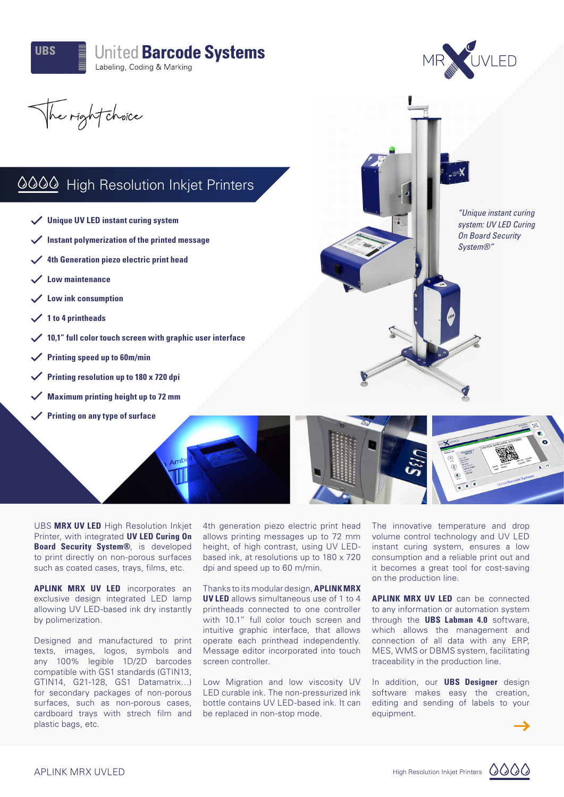

## **United Barcode Systems** Labeling, Coding & Marking



*"Unique instant curing system: UV LED Curing On Board Security System®"*

The right choice

## 0000 High Resolution Inkjet Printers

- **Unique UV LED instant curing system**
- **Instant polymerization of the printed message**
- **4th Generation piezo electric print head**
- **Low maintenance**
- **Low ink consumption**
- **1 to 4 printheads**
- **10,1" full color touch screen with graphic user interface**
- **Printing speed up to 60m/min**
- **Printing resolution up to 180 x 720 dpi**
- **Maximum printing height up to 72 mm**
- **Printing on any type of surface**

UBS **MRX UV LED** High Resolution Inkjet Printer, with integrated **UV LED Curing On Board Security System®**, is developed to print directly on non-porous surfaces such as coated cases, trays, films, etc.

**APLINK MRX UV LED** incorporates an exclusive design integrated LED lamp allowing UV LED-based ink dry instantly by polimerization.

Designed and manufactured to print texts, images, logos, symbols and any 100% legible 1D/2D barcodes compatible with GS1 standards (GTIN13, GTIN14, G21-128, GS1 Datamatrix…) for secondary packages of non-porous surfaces, such as non-porous cases, cardboard trays with strech film and plastic bags, etc.

4th generation piezo electric print head allows printing messages up to 72 mm height, of high contrast, using UV LEDbased ink, at resolutions up to 180 x 720 dpi and speed up to 60 m/min.

Thanks to its modular design, **APLINK MRX UV LED** allows simultaneous use of 1 to 4 printheads connected to one controller with 10.1" full color touch screen and intuitive graphic interface, that allows operate each printhead independently. Message editor incorporated into touch screen controller.

Low Migration and low viscosity UV LED curable ink. The non-pressurized ink bottle contains UV LED-based ink. It can be replaced in non-stop mode.

The innovative temperature and drop volume control technology and UV LED instant curing system, ensures a low consumption and a reliable print out and it becomes a great tool for cost-saving on the production line.

**APLINK MRX UV LED** can be connected to any information or automation system through the **UBS Labman 4.0** software, which allows the management and connection of all data with any ERP, MES, WMS or DBMS system, facilitating traceability in the production line.

In addition, our **UBS Designer** design software makes easy the creation, editing and sending of labels to your equipment.